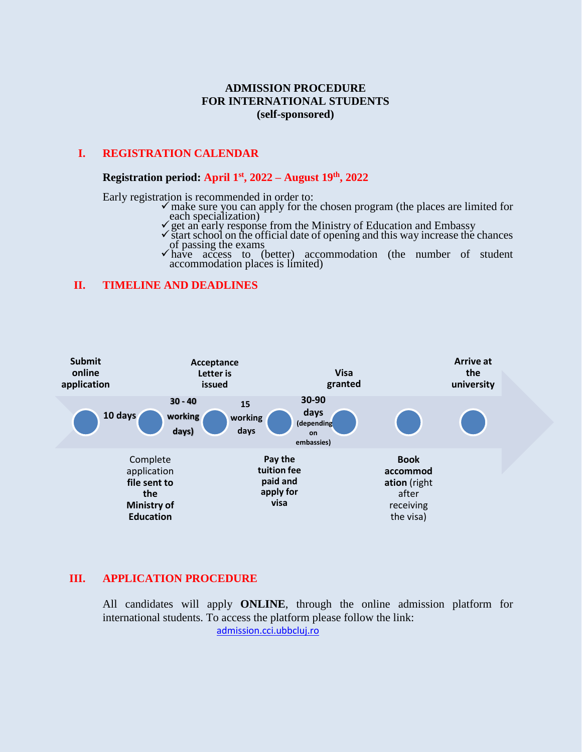# **ADMISSION PROCEDURE FOR INTERNATIONAL STUDENTS (self-sponsored)**

## **I. REGISTRATION CALENDAR**

## **Registration period: April 1st , 2022 – August 19 th, 2022**

Early registration is recommended in order to:

- make sure you can apply for the chosen program (the places are limited for each specialization)
- get an early response from the Ministry of Education and Embassy
- $\checkmark$  start school on the official date of opening and this way increase the chances of passing the exams
- $\checkmark$  have access to (better) accommodation (the number of student accommodation places is limited)

#### **II. TIMELINE AND DEADLINES**



#### **III. APPLICATION PROCEDURE**

All candidates will apply **ONLINE**, through the online admission platform for international students. To access the platform please follow the link: [admission.cci.ubbcluj.ro](http://admission.cci.ubbcluj.ro/)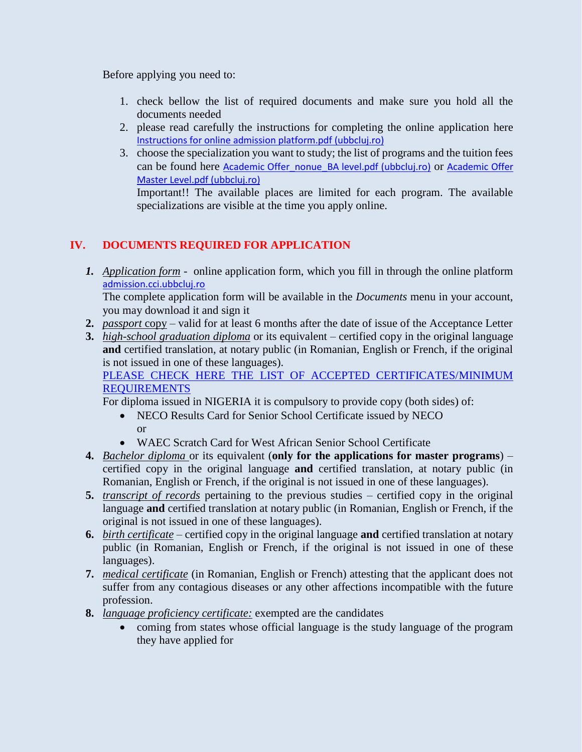Before applying you need to:

- 1. check bellow the list of required documents and make sure you hold all the documents needed
- 2. please read carefully the instructions for completing the online application here [Instructions for online admission platform.pdf \(ubbcluj.ro\)](https://cci.ubbcluj.ro/degree_students/files/non-EU%20students/admitere%202022-2023/Instructions%20for%20online%20admission%20platform.pdf)
- 3. choose the specialization you want to study; the list of programs and the tuition fees can be found here [Academic Offer](https://cci.ubbcluj.ro/degree_students/files/non-EU%20students/admitere%202022-2023/Academic%20Offer%20Master%20Level.pdf) nonue BA level.pdf (ubbclui.ro) or Academic Offer [Master Level.pdf \(ubbcluj.ro\)](https://cci.ubbcluj.ro/degree_students/files/non-EU%20students/admitere%202022-2023/Academic%20Offer%20Master%20Level.pdf)

Important!! The available places are limited for each program. The available specializations are visible at the time you apply online.

# **IV. DOCUMENTS REQUIRED FOR APPLICATION**

*1. Application form* - online application form, which you fill in through the online platform [admission.cci.ubbcluj.ro](http://admission.cci.ubbcluj.ro/)

The complete application form will be available in the *Documents* menu in your account, you may download it and sign it

- **2.** *passport* copy valid for at least 6 months after the date of issue of the Acceptance Letter
- **3.** *high-school graduation diploma* or its equivalent certified copy in the original language **and** certified translation, at notary public (in Romanian, English or French, if the original is not issued in one of these languages).

PLEASE CHECK HERE THE LIST OF ACCEPTED CERTIFICATES/MINIMUM [REQUIREMENTS](https://cci.ubbcluj.ro/degree_students/files/non-EU%20students/admitere%202020-2021/International%20High%20School%20Certificates%20for%20Recognition.pdf)

For diploma issued in NIGERIA it is compulsory to provide copy (both sides) of:

- NECO Results Card for Senior School Certificate issued by NECO or
- WAEC Scratch Card for West African Senior School Certificate
- **4.** *Bachelor diploma* or its equivalent (**only for the applications for master programs**) certified copy in the original language **and** certified translation, at notary public (in Romanian, English or French, if the original is not issued in one of these languages).
- **5.** *transcript of records* pertaining to the previous studies certified copy in the original language **and** certified translation at notary public (in Romanian, English or French, if the original is not issued in one of these languages).
- **6.** *birth certificate* certified copy in the original language **and** certified translation at notary public (in Romanian, English or French, if the original is not issued in one of these languages).
- **7.** *medical certificate* (in Romanian, English or French) attesting that the applicant does not suffer from any contagious diseases or any other affections incompatible with the future profession.
- **8.** *language proficiency certificate:* exempted are the candidates
	- coming from states whose official language is the study language of the program they have applied for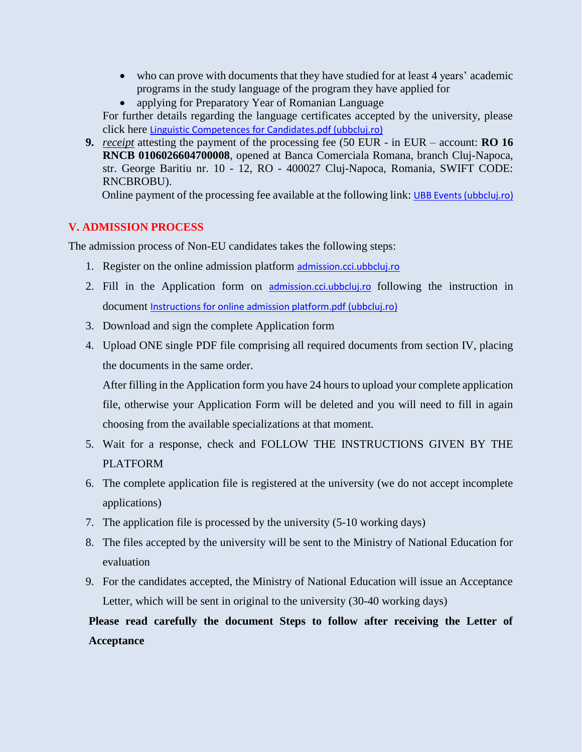- who can prove with documents that they have studied for at least 4 years' academic programs in the study language of the program they have applied for
- applying for Preparatory Year of Romanian Language

For further details regarding the language certificates accepted by the university, please click here [Linguistic Competences for Candidates.pdf \(ubbcluj.ro\)](https://cci.ubbcluj.ro/degree_students/files/non-EU%20students/admitere%202022-2023/Linguistic%20Competences%20for%20Candidates.pdf)

**9.** *receipt* attesting the payment of the processing fee (50 EUR - in EUR – account: **RO 16 RNCB 0106026604700008**, opened at Banca Comerciala Romana, branch Cluj-Napoca, str. George Baritiu nr. 10 - 12, RO - 400027 Cluj-Napoca, Romania, SWIFT CODE: RNCBROBU).

Online payment of the processing fee available at the following link: [UBB Events \(ubbcluj.ro\)](https://plati.ubbcluj.ro/en/Event/Details/81)

# **V. ADMISSION PROCESS**

The admission process of Non-EU candidates takes the following steps:

- 1. Register on the online admission platform [admission.cci.ubbcluj.ro](http://admission.cci.ubbcluj.ro/)
- 2. Fill in the Application form on [admission.cci.ubbcluj.ro](http://admission.cci.ubbcluj.ro/) following the instruction in document [Instructions for online admission platform.pdf \(ubbcluj.ro\)](https://cci.ubbcluj.ro/degree_students/files/non-EU%20students/admitere%202022-2023/Instructions%20for%20online%20admission%20platform.pdf)
- 3. Download and sign the complete Application form
- 4. Upload ONE single PDF file comprising all required documents from section IV, placing the documents in the same order.

After filling in the Application form you have 24 hours to upload your complete application file, otherwise your Application Form will be deleted and you will need to fill in again choosing from the available specializations at that moment.

- 5. Wait for a response, check and FOLLOW THE INSTRUCTIONS GIVEN BY THE PLATFORM
- 6. The complete application file is registered at the university (we do not accept incomplete applications)
- 7. The application file is processed by the university (5-10 working days)
- 8. The files accepted by the university will be sent to the Ministry of National Education for evaluation
- 9. For the candidates accepted, the Ministry of National Education will issue an Acceptance Letter, which will be sent in original to the university (30-40 working days)

**Please read carefully the document Steps to follow after receiving the Letter of Acceptance**